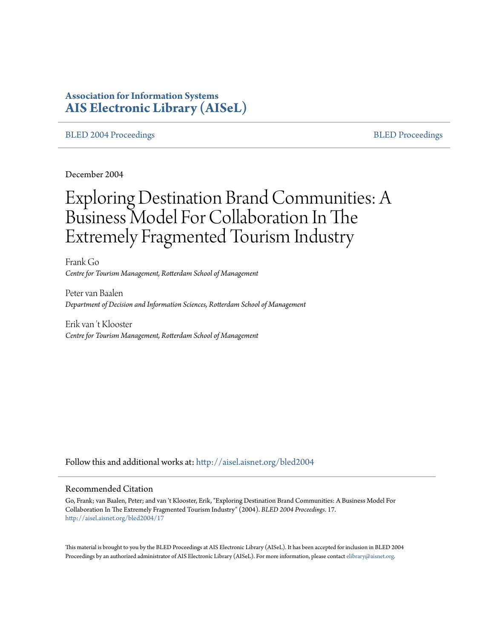# **Association for Information Systems [AIS Electronic Library \(AISeL\)](http://aisel.aisnet.org?utm_source=aisel.aisnet.org%2Fbled2004%2F17&utm_medium=PDF&utm_campaign=PDFCoverPages)**

#### [BLED 2004 Proceedings](http://aisel.aisnet.org/bled2004?utm_source=aisel.aisnet.org%2Fbled2004%2F17&utm_medium=PDF&utm_campaign=PDFCoverPages) and the state of the state of the [BLED Proceedings](http://aisel.aisnet.org/bled?utm_source=aisel.aisnet.org%2Fbled2004%2F17&utm_medium=PDF&utm_campaign=PDFCoverPages) and the BLED Proceedings and the BLED Proceedings and the BLED Proceedings and the BLED Proceedings and the BLED Proceedings and the BLED Proceedings

December 2004

# Exploring Destination Brand Communities: A Business Model For Collaboration In The Extremely Fragmented Tourism Industry

Frank Go *Centre for Tourism Management, Rotterdam School of Management*

Peter van Baalen *Department of Decision and Information Sciences, Rotterdam School of Management*

Erik van 't Klooster *Centre for Tourism Management, Rotterdam School of Management*

Follow this and additional works at: [http://aisel.aisnet.org/bled2004](http://aisel.aisnet.org/bled2004?utm_source=aisel.aisnet.org%2Fbled2004%2F17&utm_medium=PDF&utm_campaign=PDFCoverPages)

#### Recommended Citation

Go, Frank; van Baalen, Peter; and van 't Klooster, Erik, "Exploring Destination Brand Communities: A Business Model For Collaboration In The Extremely Fragmented Tourism Industry" (2004). *BLED 2004 Proceedings*. 17. [http://aisel.aisnet.org/bled2004/17](http://aisel.aisnet.org/bled2004/17?utm_source=aisel.aisnet.org%2Fbled2004%2F17&utm_medium=PDF&utm_campaign=PDFCoverPages)

This material is brought to you by the BLED Proceedings at AIS Electronic Library (AISeL). It has been accepted for inclusion in BLED 2004 Proceedings by an authorized administrator of AIS Electronic Library (AISeL). For more information, please contact [elibrary@aisnet.org](mailto:elibrary@aisnet.org%3E).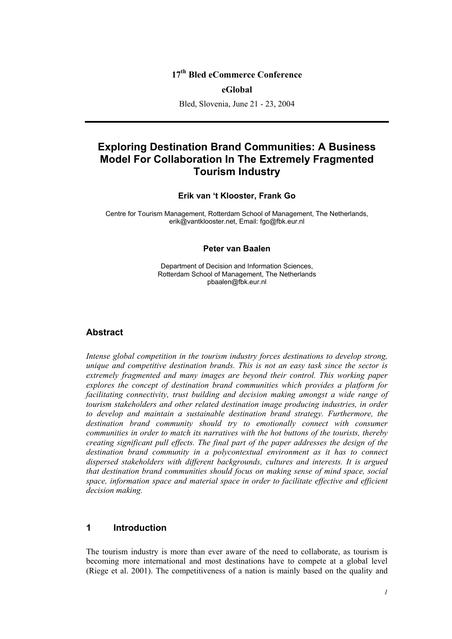#### **17th Bled eCommerce Conference**

#### **eGlobal**

Bled, Slovenia, June 21 - 23, 2004

## **Exploring Destination Brand Communities: A Business Model For Collaboration In The Extremely Fragmented Tourism Industry**

#### **Erik van 't Klooster, Frank Go**

Centre for Tourism Management, Rotterdam School of Management, The Netherlands, erik@vantklooster.net, Email: fgo@fbk.eur.nl

#### **Peter van Baalen**

Department of Decision and Information Sciences, Rotterdam School of Management, The Netherlands pbaalen@fbk.eur.nl

#### **Abstract**

*Intense global competition in the tourism industry forces destinations to develop strong, unique and competitive destination brands. This is not an easy task since the sector is extremely fragmented and many images are beyond their control. This working paper explores the concept of destination brand communities which provides a platform for facilitating connectivity, trust building and decision making amongst a wide range of tourism stakeholders and other related destination image producing industries, in order to develop and maintain a sustainable destination brand strategy. Furthermore, the*  destination brand community should try to emotionally connect with consumer *communities in order to match its narratives with the hot buttons of the tourists, thereby creating significant pull effects. The final part of the paper addresses the design of the destination brand community in a polycontextual environment as it has to connect dispersed stakeholders with different backgrounds, cultures and interests. It is argued that destination brand communities should focus on making sense of mind space, social space, information space and material space in order to facilitate effective and efficient decision making.* 

#### **1 Introduction**

The tourism industry is more than ever aware of the need to collaborate, as tourism is becoming more international and most destinations have to compete at a global level (Riege et al. 2001). The competitiveness of a nation is mainly based on the quality and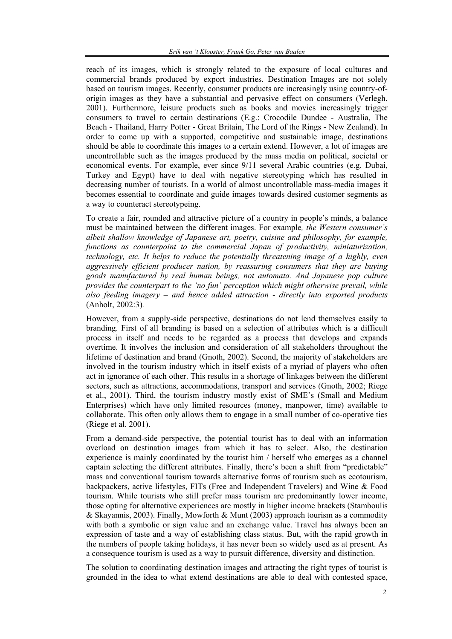reach of its images, which is strongly related to the exposure of local cultures and commercial brands produced by export industries. Destination Images are not solely based on tourism images. Recently, consumer products are increasingly using country-oforigin images as they have a substantial and pervasive effect on consumers (Verlegh, 2001). Furthermore, leisure products such as books and movies increasingly trigger consumers to travel to certain destinations (E.g.: Crocodile Dundee - Australia, The Beach - Thailand, Harry Potter - Great Britain, The Lord of the Rings - New Zealand). In order to come up with a supported, competitive and sustainable image, destinations should be able to coordinate this images to a certain extend. However, a lot of images are uncontrollable such as the images produced by the mass media on political, societal or economical events. For example, ever since 9/11 several Arabic countries (e.g. Dubai, Turkey and Egypt) have to deal with negative stereotyping which has resulted in decreasing number of tourists. In a world of almost uncontrollable mass-media images it becomes essential to coordinate and guide images towards desired customer segments as a way to counteract stereotypeing.

To create a fair, rounded and attractive picture of a country in people's minds, a balance must be maintained between the different images. For example*, the Western consumer's albeit shallow knowledge of Japanese art, poetry, cuisine and philosophy, for example, functions as counterpoint to the commercial Japan of productivity, miniaturization, technology, etc. It helps to reduce the potentially threatening image of a highly, even aggressively efficient producer nation, by reassuring consumers that they are buying goods manufactured by real human beings, not automata. And Japanese pop culture provides the counterpart to the 'no fun' perception which might otherwise prevail, while also feeding imagery – and hence added attraction - directly into exported products*  (Anholt, 2002:3)*.* 

However, from a supply-side perspective, destinations do not lend themselves easily to branding. First of all branding is based on a selection of attributes which is a difficult process in itself and needs to be regarded as a process that develops and expands overtime. It involves the inclusion and consideration of all stakeholders throughout the lifetime of destination and brand (Gnoth, 2002). Second, the majority of stakeholders are involved in the tourism industry which in itself exists of a myriad of players who often act in ignorance of each other. This results in a shortage of linkages between the different sectors, such as attractions, accommodations, transport and services (Gnoth, 2002; Riege et al., 2001). Third, the tourism industry mostly exist of SME's (Small and Medium Enterprises) which have only limited resources (money, manpower, time) available to collaborate. This often only allows them to engage in a small number of co-operative ties (Riege et al. 2001).

From a demand-side perspective, the potential tourist has to deal with an information overload on destination images from which it has to select. Also, the destination experience is mainly coordinated by the tourist him / herself who emerges as a channel captain selecting the different attributes. Finally, there's been a shift from "predictable" mass and conventional tourism towards alternative forms of tourism such as ecotourism, backpackers, active lifestyles, FITs (Free and Independent Travelers) and Wine & Food tourism. While tourists who still prefer mass tourism are predominantly lower income, those opting for alternative experiences are mostly in higher income brackets (Stamboulis & Skayannis, 2003). Finally, Mowforth & Munt (2003) approach tourism as a commodity with both a symbolic or sign value and an exchange value. Travel has always been an expression of taste and a way of establishing class status. But, with the rapid growth in the numbers of people taking holidays, it has never been so widely used as at present. As a consequence tourism is used as a way to pursuit difference, diversity and distinction.

The solution to coordinating destination images and attracting the right types of tourist is grounded in the idea to what extend destinations are able to deal with contested space,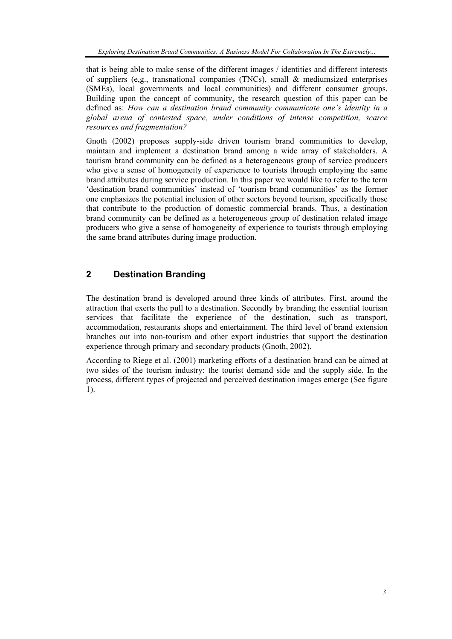that is being able to make sense of the different images / identities and different interests of suppliers (e,g., transnational companies (TNCs), small  $\&$  mediumsized enterprises (SMEs), local governments and local communities) and different consumer groups. Building upon the concept of community, the research question of this paper can be defined as: *How can a destination brand community communicate one's identity in a global arena of contested space, under conditions of intense competition, scarce resources and fragmentation?* 

Gnoth (2002) proposes supply-side driven tourism brand communities to develop, maintain and implement a destination brand among a wide array of stakeholders. A tourism brand community can be defined as a heterogeneous group of service producers who give a sense of homogeneity of experience to tourists through employing the same brand attributes during service production. In this paper we would like to refer to the term 'destination brand communities' instead of 'tourism brand communities' as the former one emphasizes the potential inclusion of other sectors beyond tourism, specifically those that contribute to the production of domestic commercial brands. Thus, a destination brand community can be defined as a heterogeneous group of destination related image producers who give a sense of homogeneity of experience to tourists through employing the same brand attributes during image production.

## **2 Destination Branding**

The destination brand is developed around three kinds of attributes. First, around the attraction that exerts the pull to a destination. Secondly by branding the essential tourism services that facilitate the experience of the destination, such as transport, accommodation, restaurants shops and entertainment. The third level of brand extension branches out into non-tourism and other export industries that support the destination experience through primary and secondary products (Gnoth, 2002).

According to Riege et al. (2001) marketing efforts of a destination brand can be aimed at two sides of the tourism industry: the tourist demand side and the supply side. In the process, different types of projected and perceived destination images emerge (See figure 1).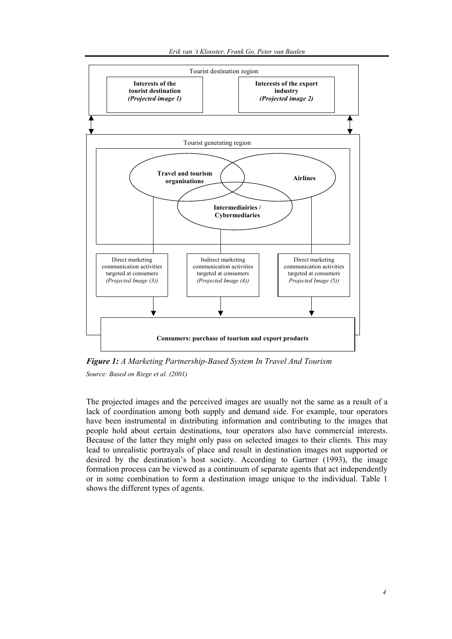

*Figure 1: A Marketing Partnership-Based System In Travel And Tourism Source: Based on Riege et al. (2001)* 

The projected images and the perceived images are usually not the same as a result of a lack of coordination among both supply and demand side. For example, tour operators have been instrumental in distributing information and contributing to the images that people hold about certain destinations, tour operators also have commercial interests. Because of the latter they might only pass on selected images to their clients. This may lead to unrealistic portrayals of place and result in destination images not supported or desired by the destination's host society. According to Gartner (1993), the image formation process can be viewed as a continuum of separate agents that act independently or in some combination to form a destination image unique to the individual. Table 1 shows the different types of agents.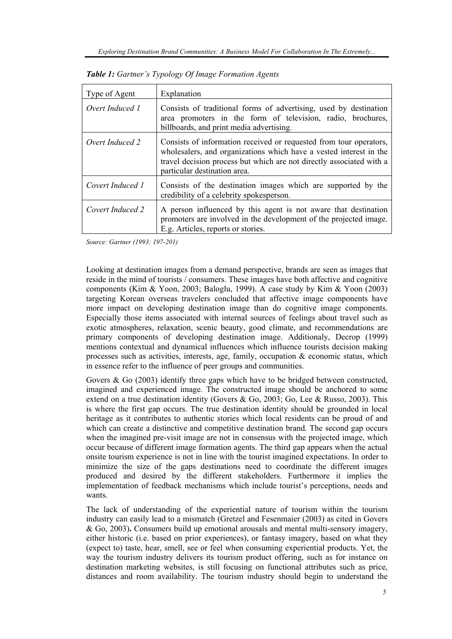| Type of Agent    | Explanation                                                                                                                                                                                                                                      |
|------------------|--------------------------------------------------------------------------------------------------------------------------------------------------------------------------------------------------------------------------------------------------|
| Overt Induced 1  | Consists of traditional forms of advertising, used by destination<br>area promoters in the form of television, radio, brochures,<br>billboards, and print media advertising.                                                                     |
| Overt Induced 2  | Consists of information received or requested from tour operators,<br>wholesalers, and organizations which have a vested interest in the<br>travel decision process but which are not directly associated with a<br>particular destination area. |
| Covert Induced 1 | Consists of the destination images which are supported by the<br>credibility of a celebrity spokesperson.                                                                                                                                        |
| Covert Induced 2 | A person influenced by this agent is not aware that destination<br>promoters are involved in the development of the projected image.<br>E.g. Articles, reports or stories.                                                                       |

*Table 1: Gartner's Typology Of Image Formation Agents* 

*Source: Gartner (1993: 197-201)* 

Looking at destination images from a demand perspective, brands are seen as images that reside in the mind of tourists / consumers. These images have both affective and cognitive components (Kim & Yoon, 2003; Baloglu, 1999). A case study by Kim & Yoon (2003) targeting Korean overseas travelers concluded that affective image components have more impact on developing destination image than do cognitive image components. Especially those items associated with internal sources of feelings about travel such as exotic atmospheres, relaxation, scenic beauty, good climate, and recommendations are primary components of developing destination image. Additionaly, Decrop (1999) mentions contextual and dynamical influences which influence tourists decision making processes such as activities, interests, age, family, occupation  $\&$  economic status, which in essence refer to the influence of peer groups and communities.

Govers & Go (2003) identify three gaps which have to be bridged between constructed, imagined and experienced image. The constructed image should be anchored to some extend on a true destination identity (Govers & Go, 2003; Go, Lee & Russo, 2003). This is where the first gap occurs. The true destination identity should be grounded in local heritage as it contributes to authentic stories which local residents can be proud of and which can create a distinctive and competitive destination brand. The second gap occurs when the imagined pre-visit image are not in consensus with the projected image, which occur because of different image formation agents. The third gap appears when the actual onsite tourism experience is not in line with the tourist imagined expectations. In order to minimize the size of the gaps destinations need to coordinate the different images produced and desired by the different stakeholders. Furthermore it implies the implementation of feedback mechanisms which include tourist's perceptions, needs and wants.

The lack of understanding of the experiential nature of tourism within the tourism industry can easily lead to a mismatch (Gretzel and Fesenmaier (2003) as cited in Govers & Go, 2003)**.** Consumers build up emotional arousals and mental multi-sensory imagery, either historic (i.e. based on prior experiences), or fantasy imagery, based on what they (expect to) taste, hear, smell, see or feel when consuming experiential products. Yet, the way the tourism industry delivers its tourism product offering, such as for instance on destination marketing websites, is still focusing on functional attributes such as price, distances and room availability. The tourism industry should begin to understand the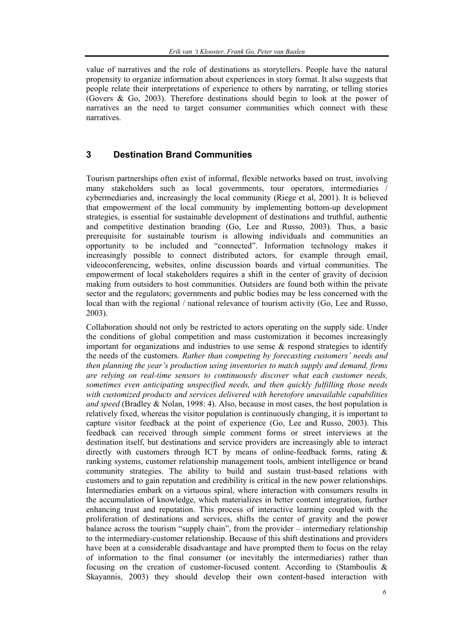value of narratives and the role of destinations as storytellers. People have the natural propensity to organize information about experiences in story format. It also suggests that people relate their interpretations of experience to others by narrating, or telling stories (Govers & Go, 2003). Therefore destinations should begin to look at the power of narratives an the need to target consumer communities which connect with these narratives.

## **3 Destination Brand Communities**

Tourism partnerships often exist of informal, flexible networks based on trust, involving many stakeholders such as local governments, tour operators, intermediaries / cybermediaries and, increasingly the local community (Riege et al, 2001). It is believed that empowerment of the local community by implementing bottom-up development strategies, is essential for sustainable development of destinations and truthful, authentic and competitive destination branding (Go, Lee and Russo, 2003). Thus, a basic prerequisite for sustainable tourism is allowing individuals and communities an opportunity to be included and "connected". Information technology makes it increasingly possible to connect distributed actors, for example through email, videoconferencing, websites, online discussion boards and virtual communities. The empowerment of local stakeholders requires a shift in the center of gravity of decision making from outsiders to host communities. Outsiders are found both within the private sector and the regulators; governments and public bodies may be less concerned with the local than with the regional / national relevance of tourism activity (Go, Lee and Russo, 2003).

Collaboration should not only be restricted to actors operating on the supply side. Under the conditions of global competition and mass customization it becomes increasingly important for organizations and industries to use sense & respond strategies to identify the needs of the customers. *Rather than competing by forecasting customers' needs and then planning the year's production using inventories to match supply and demand, firms are relying on real-time sensors to continuously discover what each customer needs, sometimes even anticipating unspecified needs, and then quickly fulfilling those needs with customized products and services delivered with heretofore unavailable capabilities and speed* (Bradley & Nolan, 1998: 4). Also, because in most cases, the host population is relatively fixed, whereas the visitor population is continuously changing, it is important to capture visitor feedback at the point of experience (Go, Lee and Russo, 2003). This feedback can received through simple comment forms or street interviews at the destination itself, but destinations and service providers are increasingly able to interact directly with customers through ICT by means of online-feedback forms, rating & ranking systems, customer relationship management tools, ambient intelligence or brand community strategies. The ability to build and sustain trust-based relations with customers and to gain reputation and credibility is critical in the new power relationships. Intermediaries embark on a virtuous spiral, where interaction with consumers results in the accumulation of knowledge, which materializes in better content integration, further enhancing trust and reputation. This process of interactive learning coupled with the proliferation of destinations and services, shifts the center of gravity and the power balance across the tourism "supply chain", from the provider – intermediary relationship to the intermediary-customer relationship. Because of this shift destinations and providers have been at a considerable disadvantage and have prompted them to focus on the relay of information to the final consumer (or inevitably the intermediaries) rather than focusing on the creation of customer-focused content. According to (Stamboulis & Skayannis, 2003) they should develop their own content-based interaction with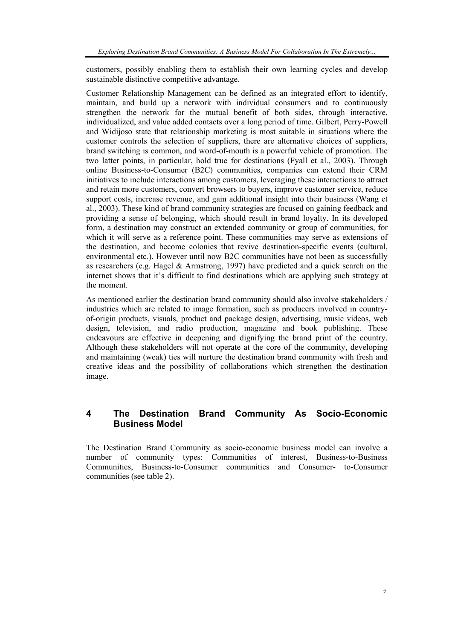customers, possibly enabling them to establish their own learning cycles and develop sustainable distinctive competitive advantage.

Customer Relationship Management can be defined as an integrated effort to identify, maintain, and build up a network with individual consumers and to continuously strengthen the network for the mutual benefit of both sides, through interactive, individualized, and value added contacts over a long period of time. Gilbert, Perry-Powell and Widijoso state that relationship marketing is most suitable in situations where the customer controls the selection of suppliers, there are alternative choices of suppliers, brand switching is common, and word-of-mouth is a powerful vehicle of promotion. The two latter points, in particular, hold true for destinations (Fyall et al., 2003). Through online Business-to-Consumer (B2C) communities, companies can extend their CRM initiatives to include interactions among customers, leveraging these interactions to attract and retain more customers, convert browsers to buyers, improve customer service, reduce support costs, increase revenue, and gain additional insight into their business (Wang et al., 2003). These kind of brand community strategies are focused on gaining feedback and providing a sense of belonging, which should result in brand loyalty. In its developed form, a destination may construct an extended community or group of communities, for which it will serve as a reference point. These communities may serve as extensions of the destination, and become colonies that revive destination-specific events (cultural, environmental etc.). However until now B2C communities have not been as successfully as researchers (e.g. Hagel & Armstrong, 1997) have predicted and a quick search on the internet shows that it's difficult to find destinations which are applying such strategy at the moment.

As mentioned earlier the destination brand community should also involve stakeholders / industries which are related to image formation, such as producers involved in countryof-origin products, visuals, product and package design, advertising, music videos, web design, television, and radio production, magazine and book publishing. These endeavours are effective in deepening and dignifying the brand print of the country. Although these stakeholders will not operate at the core of the community, developing and maintaining (weak) ties will nurture the destination brand community with fresh and creative ideas and the possibility of collaborations which strengthen the destination image.

## **4 The Destination Brand Community As Socio-Economic Business Model**

The Destination Brand Community as socio-economic business model can involve a number of community types: Communities of interest, Business-to-Business Communities, Business-to-Consumer communities and Consumer- to-Consumer communities (see table 2).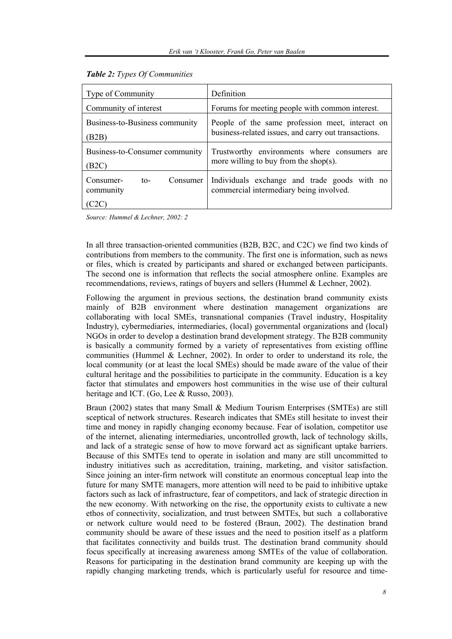| Type of Community                                   | Definition                                                                                              |
|-----------------------------------------------------|---------------------------------------------------------------------------------------------------------|
| Community of interest                               | Forums for meeting people with common interest.                                                         |
| Business-to-Business community<br>(B2B)             | People of the same profession meet, interact on<br>business-related issues, and carry out transactions. |
| Business-to-Consumer community<br>(B2C)             | Trustworthy environments where consumers are<br>more willing to buy from the shop(s).                   |
| Consumer-<br>Consumer<br>$\mathsf{to}$<br>community | Individuals exchange and trade goods with no<br>commercial intermediary being involved.                 |

#### *Table 2: Types Of Communities*

*Source: Hummel & Lechner, 2002: 2* 

In all three transaction-oriented communities (B2B, B2C, and C2C) we find two kinds of contributions from members to the community. The first one is information, such as news or files, which is created by participants and shared or exchanged between participants. The second one is information that reflects the social atmosphere online. Examples are recommendations, reviews, ratings of buyers and sellers (Hummel & Lechner, 2002).

Following the argument in previous sections, the destination brand community exists mainly of B2B environment where destination management organizations are collaborating with local SMEs, transnational companies (Travel industry, Hospitality Industry), cybermediaries, intermediaries, (local) governmental organizations and (local) NGOs in order to develop a destination brand development strategy. The B2B community is basically a community formed by a variety of representatives from existing offline communities (Hummel & Lechner, 2002). In order to order to understand its role, the local community (or at least the local SMEs) should be made aware of the value of their cultural heritage and the possibilities to participate in the community. Education is a key factor that stimulates and empowers host communities in the wise use of their cultural heritage and ICT. (Go, Lee & Russo, 2003).

Braun (2002) states that many Small & Medium Tourism Enterprises (SMTEs) are still sceptical of network structures. Research indicates that SMEs still hesitate to invest their time and money in rapidly changing economy because. Fear of isolation, competitor use of the internet, alienating intermediaries, uncontrolled growth, lack of technology skills, and lack of a strategic sense of how to move forward act as significant uptake barriers. Because of this SMTEs tend to operate in isolation and many are still uncommitted to industry initiatives such as accreditation, training, marketing, and visitor satisfaction. Since joining an inter-firm network will constitute an enormous conceptual leap into the future for many SMTE managers, more attention will need to be paid to inhibitive uptake factors such as lack of infrastructure, fear of competitors, and lack of strategic direction in the new economy. With networking on the rise, the opportunity exists to cultivate a new ethos of connectivity, socialization, and trust between SMTEs, but such a collaborative or network culture would need to be fostered (Braun, 2002). The destination brand community should be aware of these issues and the need to position itself as a platform that facilitates connectivity and builds trust. The destination brand community should focus specifically at increasing awareness among SMTEs of the value of collaboration. Reasons for participating in the destination brand community are keeping up with the rapidly changing marketing trends, which is particularly useful for resource and time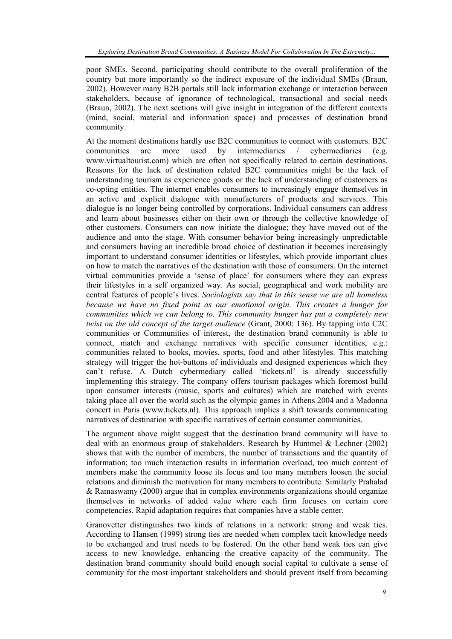poor SMEs. Second, participating should contribute to the overall proliferation of the country but more importantly so the indirect exposure of the individual SMEs (Braun, 2002). However many B2B portals still lack information exchange or interaction between stakeholders, because of ignorance of technological, transactional and social needs (Braun, 2002). The next sections will give insight in integration of the different contexts (mind, social, material and information space) and processes of destination brand community.

At the moment destinations hardly use B2C communities to connect with customers. B2C communities are more used by intermediaries / cybermediaries (e.g. www.virtualtourist.com) which are often not specifically related to certain destinations. Reasons for the lack of destination related B2C communities might be the lack of understanding tourism as experience goods or the lack of understanding of customers as co-opting entities. The internet enables consumers to increasingly engage themselves in an active and explicit dialogue with manufacturers of products and services. This dialogue is no longer being controlled by corporations. Individual consumers can address and learn about businesses either on their own or through the collective knowledge of other customers. Consumers can now initiate the dialogue; they have moved out of the audience and onto the stage. With consumer behavior being increasingly unpredictable and consumers having an incredible broad choice of destination it becomes increasingly important to understand consumer identities or lifestyles, which provide important clues on how to match the narratives of the destination with those of consumers. On the internet virtual communities provide a 'sense of place' for consumers where they can express their lifestyles in a self organized way. As social, geographical and work mobility are central features of people's lives. *Sociologists say that in this sense we are all homeless because we have no fixed point as our emotional origin. This creates a hunger for communities which we can belong to. This community hunger has put a completely new twist on the old concept of the target audience* (Grant, 2000: 136). By tapping into C2C communities or Communities of interest, the destination brand community is able to connect, match and exchange narratives with specific consumer identities, e.g.: communities related to books, movies, sports, food and other lifestyles. This matching strategy will trigger the hot-buttons of individuals and designed experiences which they can't refuse. A Dutch cybermediary called 'tickets.nl' is already successfully implementing this strategy. The company offers tourism packages which foremost build upon consumer interests (music, sports and cultures) which are matched with events taking place all over the world such as the olympic games in Athens 2004 and a Madonna concert in Paris (www.tickets.nl). This approach implies a shift towards communicating narratives of destination with specific narratives of certain consumer communities.

The argument above might suggest that the destination brand community will have to deal with an enormous group of stakeholders. Research by Hummel & Lechner (2002) shows that with the number of members, the number of transactions and the quantity of information; too much interaction results in information overload, too much content of members make the community loose its focus and too many members loosen the social relations and diminish the motivation for many members to contribute. Similarly Prahalad & Ramaswamy (2000) argue that in complex environments organizations should organize themselves in networks of added value where each firm focuses on certain core competencies. Rapid adaptation requires that companies have a stable center.

Granovetter distinguishes two kinds of relations in a network: strong and weak ties. According to Hansen (1999) strong ties are needed when complex tacit knowledge needs to be exchanged and trust needs to be fostered. On the other hand weak ties can give access to new knowledge, enhancing the creative capacity of the community. The destination brand community should build enough social capital to cultivate a sense of community for the most important stakeholders and should prevent itself from becoming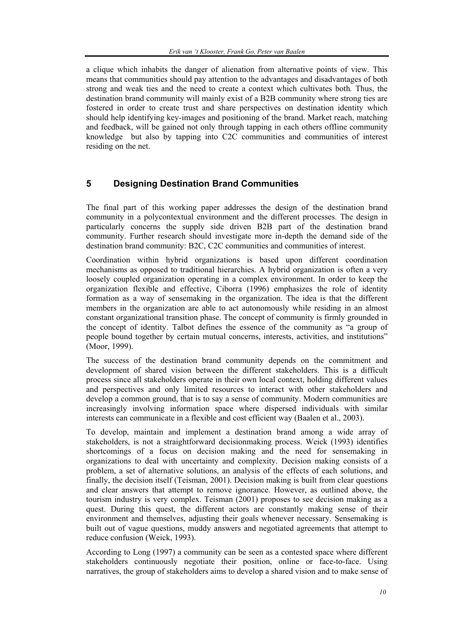a clique which inhabits the danger of alienation from alternative points of view. This means that communities should pay attention to the advantages and disadvantages of both strong and weak ties and the need to create a context which cultivates both*.* Thus, the destination brand community will mainly exist of a B2B community where strong ties are fostered in order to create trust and share perspectives on destination identity which should help identifying key-images and positioning of the brand. Market reach, matching and feedback, will be gained not only through tapping in each others offline community knowledge but also by tapping into C2C communities and communities of interest residing on the net.

### **5 Designing Destination Brand Communities**

The final part of this working paper addresses the design of the destination brand community in a polycontextual environment and the different processes. The design in particularly concerns the supply side driven B2B part of the destination brand community. Further research should investigate more in-depth the demand side of the destination brand community: B2C, C2C communities and communities of interest.

Coordination within hybrid organizations is based upon different coordination mechanisms as opposed to traditional hierarchies. A hybrid organization is often a very loosely coupled organization operating in a complex environment. In order to keep the organization flexible and effective, Ciborra (1996) emphasizes the role of identity formation as a way of sensemaking in the organization. The idea is that the different members in the organization are able to act autonomously while residing in an almost constant organizational transition phase. The concept of community is firmly grounded in the concept of identity. Talbot defines the essence of the community as "a group of people bound together by certain mutual concerns, interests, activities, and institutions" (Moor, 1999).

The success of the destination brand community depends on the commitment and development of shared vision between the different stakeholders. This is a difficult process since all stakeholders operate in their own local context, holding different values and perspectives and only limited resources to interact with other stakeholders and develop a common ground, that is to say a sense of community. Modern communities are increasingly involving information space where dispersed individuals with similar interests can communicate in a flexible and cost efficient way (Baalen et al., 2003).

To develop, maintain and implement a destination brand among a wide array of stakeholders, is not a straightforward decisionmaking process. Weick (1993) identifies shortcomings of a focus on decision making and the need for sensemaking in organizations to deal with uncertainty and complexity. Decision making consists of a problem, a set of alternative solutions, an analysis of the effects of each solutions, and finally, the decision itself (Teisman, 2001). Decision making is built from clear questions and clear answers that attempt to remove ignorance. However, as outlined above, the tourism industry is very complex. Teisman (2001) proposes to see decision making as a quest. During this quest, the different actors are constantly making sense of their environment and themselves, adjusting their goals whenever necessary. Sensemaking is built out of vague questions, muddy answers and negotiated agreements that attempt to reduce confusion (Weick, 1993).

According to Long (1997) a community can be seen as a contested space where different stakeholders continuously negotiate their position, online or face-to-face. Using narratives, the group of stakeholders aims to develop a shared vision and to make sense of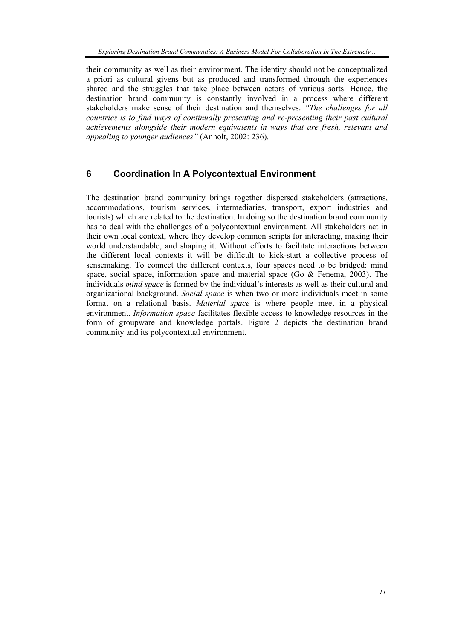their community as well as their environment. The identity should not be conceptualized a priori as cultural givens but as produced and transformed through the experiences shared and the struggles that take place between actors of various sorts. Hence, the destination brand community is constantly involved in a process where different stakeholders make sense of their destination and themselves. *"The challenges for all countries is to find ways of continually presenting and re-presenting their past cultural achievements alongside their modern equivalents in ways that are fresh, relevant and appealing to younger audiences"* (Anholt, 2002: 236).

## **6 Coordination In A Polycontextual Environment**

The destination brand community brings together dispersed stakeholders (attractions, accommodations, tourism services, intermediaries, transport, export industries and tourists) which are related to the destination. In doing so the destination brand community has to deal with the challenges of a polycontextual environment. All stakeholders act in their own local context, where they develop common scripts for interacting, making their world understandable, and shaping it. Without efforts to facilitate interactions between the different local contexts it will be difficult to kick-start a collective process of sensemaking. To connect the different contexts, four spaces need to be bridged: mind space, social space, information space and material space (Go  $\&$  Fenema, 2003). The individuals *mind space* is formed by the individual's interests as well as their cultural and organizational background. *Social space* is when two or more individuals meet in some format on a relational basis. *Material space* is where people meet in a physical environment. *Information space* facilitates flexible access to knowledge resources in the form of groupware and knowledge portals. Figure 2 depicts the destination brand community and its polycontextual environment.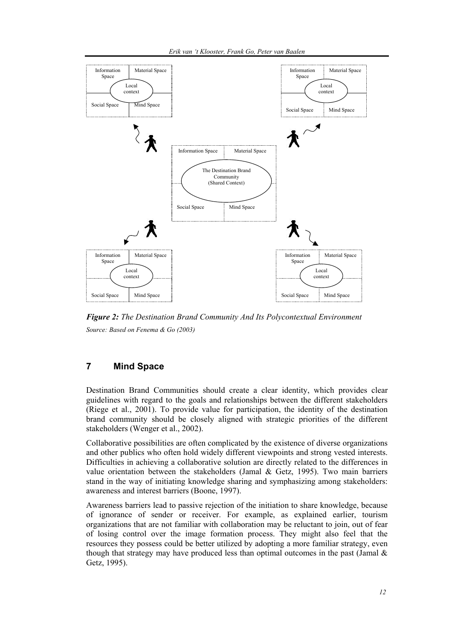

*Figure 2: The Destination Brand Community And Its Polycontextual Environment Source: Based on Fenema & Go (2003)* 

### **7 Mind Space**

Destination Brand Communities should create a clear identity, which provides clear guidelines with regard to the goals and relationships between the different stakeholders (Riege et al., 2001). To provide value for participation, the identity of the destination brand community should be closely aligned with strategic priorities of the different stakeholders (Wenger et al., 2002).

Collaborative possibilities are often complicated by the existence of diverse organizations and other publics who often hold widely different viewpoints and strong vested interests. Difficulties in achieving a collaborative solution are directly related to the differences in value orientation between the stakeholders (Jamal & Getz, 1995). Two main barriers stand in the way of initiating knowledge sharing and symphasizing among stakeholders: awareness and interest barriers (Boone, 1997).

Awareness barriers lead to passive rejection of the initiation to share knowledge, because of ignorance of sender or receiver. For example, as explained earlier, tourism organizations that are not familiar with collaboration may be reluctant to join, out of fear of losing control over the image formation process. They might also feel that the resources they possess could be better utilized by adopting a more familiar strategy, even though that strategy may have produced less than optimal outcomes in the past (Jamal  $\&$ Getz, 1995).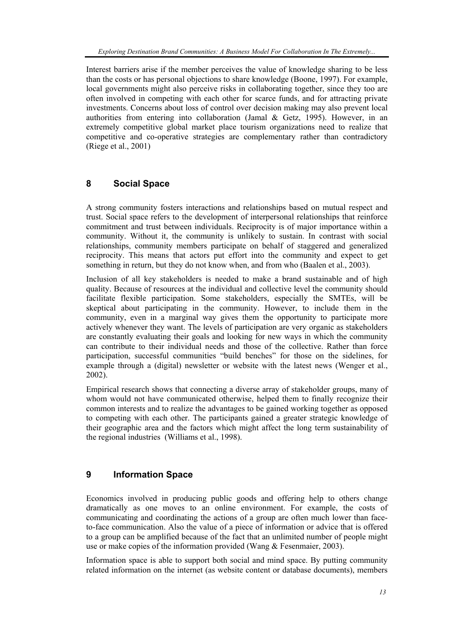Interest barriers arise if the member perceives the value of knowledge sharing to be less than the costs or has personal objections to share knowledge (Boone, 1997). For example, local governments might also perceive risks in collaborating together, since they too are often involved in competing with each other for scarce funds, and for attracting private investments. Concerns about loss of control over decision making may also prevent local authorities from entering into collaboration (Jamal & Getz, 1995). However, in an extremely competitive global market place tourism organizations need to realize that competitive and co-operative strategies are complementary rather than contradictory (Riege et al., 2001)

## **8 Social Space**

A strong community fosters interactions and relationships based on mutual respect and trust. Social space refers to the development of interpersonal relationships that reinforce commitment and trust between individuals. Reciprocity is of major importance within a community. Without it, the community is unlikely to sustain. In contrast with social relationships, community members participate on behalf of staggered and generalized reciprocity. This means that actors put effort into the community and expect to get something in return, but they do not know when, and from who (Baalen et al., 2003).

Inclusion of all key stakeholders is needed to make a brand sustainable and of high quality. Because of resources at the individual and collective level the community should facilitate flexible participation. Some stakeholders, especially the SMTEs, will be skeptical about participating in the community. However, to include them in the community, even in a marginal way gives them the opportunity to participate more actively whenever they want. The levels of participation are very organic as stakeholders are constantly evaluating their goals and looking for new ways in which the community can contribute to their individual needs and those of the collective. Rather than force participation, successful communities "build benches" for those on the sidelines, for example through a (digital) newsletter or website with the latest news (Wenger et al., 2002).

Empirical research shows that connecting a diverse array of stakeholder groups, many of whom would not have communicated otherwise, helped them to finally recognize their common interests and to realize the advantages to be gained working together as opposed to competing with each other. The participants gained a greater strategic knowledge of their geographic area and the factors which might affect the long term sustainability of the regional industries (Williams et al., 1998).

## **9 Information Space**

Economics involved in producing public goods and offering help to others change dramatically as one moves to an online environment. For example, the costs of communicating and coordinating the actions of a group are often much lower than faceto-face communication. Also the value of a piece of information or advice that is offered to a group can be amplified because of the fact that an unlimited number of people might use or make copies of the information provided (Wang & Fesenmaier, 2003).

Information space is able to support both social and mind space. By putting community related information on the internet (as website content or database documents), members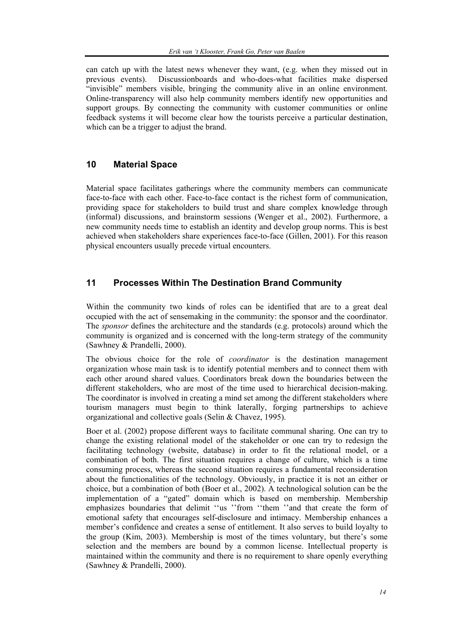can catch up with the latest news whenever they want, (e.g. when they missed out in previous events). Discussionboards and who-does-what facilities make dispersed "invisible" members visible, bringing the community alive in an online environment. Online-transparency will also help community members identify new opportunities and support groups. By connecting the community with customer communities or online feedback systems it will become clear how the tourists perceive a particular destination, which can be a trigger to adjust the brand.

#### **10 Material Space**

Material space facilitates gatherings where the community members can communicate face-to-face with each other. Face-to-face contact is the richest form of communication, providing space for stakeholders to build trust and share complex knowledge through (informal) discussions, and brainstorm sessions (Wenger et al., 2002). Furthermore, a new community needs time to establish an identity and develop group norms. This is best achieved when stakeholders share experiences face-to-face (Gillen, 2001). For this reason physical encounters usually precede virtual encounters.

## **11 Processes Within The Destination Brand Community**

Within the community two kinds of roles can be identified that are to a great deal occupied with the act of sensemaking in the community: the sponsor and the coordinator. The *sponsor* defines the architecture and the standards (e.g. protocols) around which the community is organized and is concerned with the long-term strategy of the community (Sawhney & Prandelli, 2000).

The obvious choice for the role of *coordinator* is the destination management organization whose main task is to identify potential members and to connect them with each other around shared values. Coordinators break down the boundaries between the different stakeholders, who are most of the time used to hierarchical decision-making. The coordinator is involved in creating a mind set among the different stakeholders where tourism managers must begin to think laterally, forging partnerships to achieve organizational and collective goals (Selin & Chavez, 1995).

Boer et al. (2002) propose different ways to facilitate communal sharing. One can try to change the existing relational model of the stakeholder or one can try to redesign the facilitating technology (website, database) in order to fit the relational model, or a combination of both. The first situation requires a change of culture, which is a time consuming process, whereas the second situation requires a fundamental reconsideration about the functionalities of the technology. Obviously, in practice it is not an either or choice, but a combination of both (Boer et al., 2002). A technological solution can be the implementation of a "gated" domain which is based on membership. Membership emphasizes boundaries that delimit ''us ''from ''them ''and that create the form of emotional safety that encourages self-disclosure and intimacy. Membership enhances a member's confidence and creates a sense of entitlement. It also serves to build loyalty to the group (Kim, 2003). Membership is most of the times voluntary, but there's some selection and the members are bound by a common license. Intellectual property is maintained within the community and there is no requirement to share openly everything (Sawhney & Prandelli, 2000).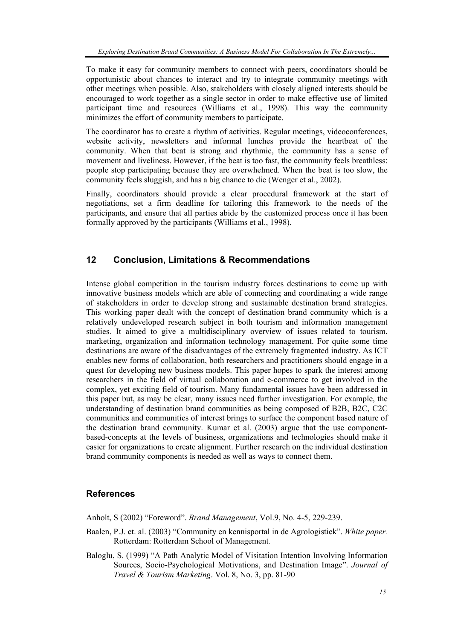To make it easy for community members to connect with peers, coordinators should be opportunistic about chances to interact and try to integrate community meetings with other meetings when possible. Also, stakeholders with closely aligned interests should be encouraged to work together as a single sector in order to make effective use of limited participant time and resources (Williams et al., 1998). This way the community minimizes the effort of community members to participate.

The coordinator has to create a rhythm of activities. Regular meetings, videoconferences, website activity, newsletters and informal lunches provide the heartbeat of the community. When that beat is strong and rhythmic, the community has a sense of movement and liveliness. However, if the beat is too fast, the community feels breathless: people stop participating because they are overwhelmed. When the beat is too slow, the community feels sluggish, and has a big chance to die (Wenger et al., 2002).

Finally, coordinators should provide a clear procedural framework at the start of negotiations, set a firm deadline for tailoring this framework to the needs of the participants, and ensure that all parties abide by the customized process once it has been formally approved by the participants (Williams et al., 1998).

#### **12 Conclusion, Limitations & Recommendations**

Intense global competition in the tourism industry forces destinations to come up with innovative business models which are able of connecting and coordinating a wide range of stakeholders in order to develop strong and sustainable destination brand strategies. This working paper dealt with the concept of destination brand community which is a relatively undeveloped research subject in both tourism and information management studies. It aimed to give a multidisciplinary overview of issues related to tourism, marketing, organization and information technology management. For quite some time destinations are aware of the disadvantages of the extremely fragmented industry. As ICT enables new forms of collaboration, both researchers and practitioners should engage in a quest for developing new business models. This paper hopes to spark the interest among researchers in the field of virtual collaboration and e-commerce to get involved in the complex, yet exciting field of tourism. Many fundamental issues have been addressed in this paper but, as may be clear, many issues need further investigation. For example, the understanding of destination brand communities as being composed of B2B, B2C, C2C communities and communities of interest brings to surface the component based nature of the destination brand community. Kumar et al. (2003) argue that the use componentbased-concepts at the levels of business, organizations and technologies should make it easier for organizations to create alignment. Further research on the individual destination brand community components is needed as well as ways to connect them.

#### **References**

Anholt, S (2002) "Foreword". *Brand Management*, Vol.9, No. 4-5, 229-239.

- Baalen, P.J. et. al. (2003) "Community en kennisportal in de Agrologistiek". *White paper.*  Rotterdam: Rotterdam School of Management*.*
- Baloglu, S. (1999) "A Path Analytic Model of Visitation Intention Involving Information Sources, Socio-Psychological Motivations, and Destination Image". *Journal of Travel & Tourism Marketing*. Vol. 8, No. 3, pp. 81-90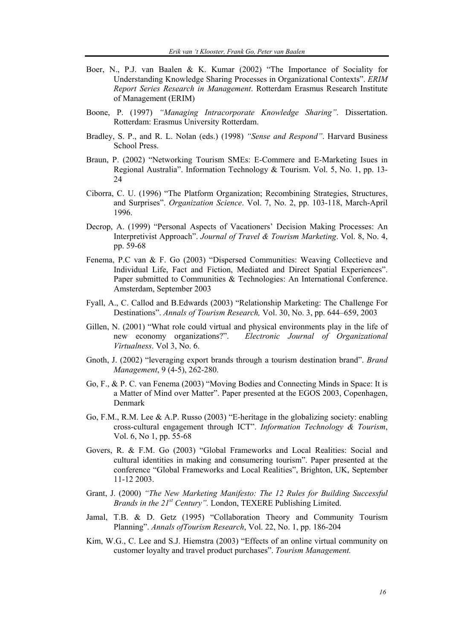- Boer, N., P.J. van Baalen & K. Kumar (2002) "The Importance of Sociality for Understanding Knowledge Sharing Processes in Organizational Contexts". *ERIM Report Series Research in Management*. Rotterdam Erasmus Research Institute of Management (ERIM)
- Boone, P. (1997) *"Managing Intracorporate Knowledge Sharing"*. Dissertation. Rotterdam: Erasmus University Rotterdam.
- Bradley, S. P., and R. L. Nolan (eds.) (1998) *"Sense and Respond"*. Harvard Business School Press.
- Braun, P. (2002) "Networking Tourism SMEs: E-Commere and E-Marketing Isues in Regional Australia". Information Technology & Tourism. Vol. 5, No. 1, pp. 13- 24
- Ciborra, C. U. (1996) "The Platform Organization; Recombining Strategies, Structures, and Surprises". *Organization Science*. Vol. 7, No. 2, pp. 103-118, March-April 1996.
- Decrop, A. (1999) "Personal Aspects of Vacationers' Decision Making Processes: An Interpretivist Approach". *Journal of Travel & Tourism Marketing*. Vol. 8, No. 4, pp. 59-68
- Fenema, P.C van & F. Go (2003) "Dispersed Communities: Weaving Collectieve and Individual Life, Fact and Fiction, Mediated and Direct Spatial Experiences". Paper submitted to Communities & Technologies: An International Conference. Amsterdam, September 2003
- Fyall, A., C. Callod and B.Edwards (2003) "Relationship Marketing: The Challenge For Destinations". *Annals of Tourism Research,* Vol. 30, No. 3, pp. 644–659, 2003
- Gillen, N. (2001) "What role could virtual and physical environments play in the life of new economy organizations?". *Electronic Journal of Organizational Virtualness*. Vol 3, No. 6.
- Gnoth, J. (2002) "leveraging export brands through a tourism destination brand". *Brand Management*, 9 (4-5), 262-280.
- Go, F., & P. C. van Fenema (2003) "Moving Bodies and Connecting Minds in Space: It is a Matter of Mind over Matter". Paper presented at the EGOS 2003, Copenhagen, Denmark
- Go, F.M., R.M. Lee & A.P. Russo (2003) "E-heritage in the globalizing society: enabling cross-cultural engagement through ICT". *Information Technology & Tourism*, Vol. 6, No 1, pp. 55-68
- Govers, R. & F.M. Go (2003) "Global Frameworks and Local Realities: Social and cultural identities in making and consumering tourism". Paper presented at the conference "Global Frameworks and Local Realities", Brighton, UK, September 11-12 2003.
- Grant, J. (2000) *"The New Marketing Manifesto: The 12 Rules for Building Successful Brands in the 21st Century".* London, TEXERE Publishing Limited.
- Jamal, T.B. & D. Getz (1995) "Collaboration Theory and Community Tourism Planning". *Annals ofTourism Research*, Vol. 22, No. 1, pp. 186-204
- Kim, W.G., C. Lee and S.J. Hiemstra (2003) "Effects of an online virtual community on customer loyalty and travel product purchases". *Tourism Management.*